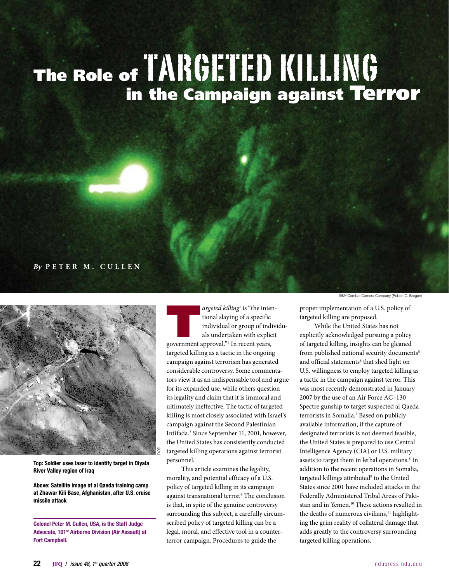# The Role of  $\overline{1}$   $\overline{1}$   $\overline{1}$   $\overline{1}$   $\overline{1}$   $\overline{1}$   $\overline{1}$   $\overline{1}$   $\overline{1}$   $\overline{1}$   $\overline{1}$   $\overline{1}$   $\overline{1}$   $\overline{1}$   $\overline{1}$   $\overline{1}$   $\overline{1}$   $\overline{1}$   $\overline{1}$   $\overline{1}$   $\overline{1}$   $\overline{1}$   $\overline{1}$   $\$ in the Campaign against Terror

#### *By* **P e t e r M . C u l l e n**



Top: Soldier uses laser to identify target in Diyala River Valley region of Iraq

Above: Satellite image of al Qaeda training camp at Zhawar Kili Base, Afghanistan, after U.S. cruise missile attack

Colonel Peter M. Cullen, USA, is the Staff Judge Advocate, 101st Airborne Division (Air Assault) at Fort Campbell.

argeted killing<sup>1</sup> is "the internal slaying of a specific individual or group of individual or group of individual or group of individual sum of  $\frac{1}{2}$  In recent years, argeted killing<sup>1</sup> is "the intentional slaying of a specific individual or group of individuals undertaken with explicit targeted killing as a tactic in the ongoing campaign against terrorism has generated considerable controversy. Some commentators view it as an indispensable tool and argue for its expanded use, while others question its legality and claim that it is immoral and ultimately ineffective. The tactic of targeted killing is most closely associated with Israel's campaign against the Second Palestinian Intifada.3 Since September 11, 2001, however, the United States has consistently conducted targeted killing operations against terrorist personnel.

This article examines the legality, morality, and potential efficacy of a U.S. policy of targeted killing in its campaign against transnational terror.<sup>4</sup> The conclusion is that, in spite of the genuine controversy surrounding this subject, a carefully circumscribed policy of targeted killing can be a legal, moral, and effective tool in a counterterror campaign. Procedures to guide the

proper implementation of a U.S. policy of targeted killing are proposed.

While the United States has not explicitly acknowledged pursuing a policy of targeted killing, insights can be gleaned from published national security documents<sup>5</sup> and official statements<sup>6</sup> that shed light on U.S. willingness to employ targeted killing as a tactic in the campaign against terror. This was most recently demonstrated in January 2007 by the use of an Air Force AC–130 Spectre gunship to target suspected al Qaeda terrorists in Somalia.7 Based on publicly available information, if the capture of designated terrorists is not deemed feasible, the United States is prepared to use Central Intelligence Agency (CIA) or U.S. military assets to target them in lethal operations.<sup>8</sup> In addition to the recent operations in Somalia, targeted killings attributed<sup>9</sup> to the United States since 2001 have included attacks in the Federally Administered Tribal Areas of Pakistan and in Yemen.10 These actions resulted in the deaths of numerous civilians,<sup>11</sup> highlighting the grim reality of collateral damage that adds greatly to the controversy surrounding targeted killing operations.

<sup>982&</sup>lt;sup>d</sup> Combat Camera Company (Robert C. Brogan)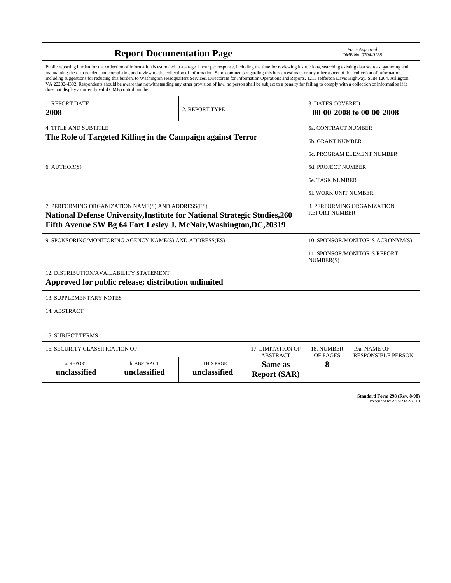| <b>Report Documentation Page</b>                                                                                                                                                                                                                                                                                                                                                                                                                                                                                                                                                                                                                                                                                                                                                                                                                                   |                             |                              |                                                   | Form Approved<br>OMB No. 0704-0188                  |                           |
|--------------------------------------------------------------------------------------------------------------------------------------------------------------------------------------------------------------------------------------------------------------------------------------------------------------------------------------------------------------------------------------------------------------------------------------------------------------------------------------------------------------------------------------------------------------------------------------------------------------------------------------------------------------------------------------------------------------------------------------------------------------------------------------------------------------------------------------------------------------------|-----------------------------|------------------------------|---------------------------------------------------|-----------------------------------------------------|---------------------------|
| Public reporting burden for the collection of information is estimated to average 1 hour per response, including the time for reviewing instructions, searching existing data sources, gathering and<br>maintaining the data needed, and completing and reviewing the collection of information. Send comments regarding this burden estimate or any other aspect of this collection of information,<br>including suggestions for reducing this burden, to Washington Headquarters Services, Directorate for Information Operations and Reports, 1215 Jefferson Davis Highway, Suite 1204, Arlington<br>VA 22202-4302. Respondents should be aware that notwithstanding any other provision of law, no person shall be subject to a penalty for failing to comply with a collection of information if it<br>does not display a currently valid OMB control number. |                             |                              |                                                   |                                                     |                           |
| <b>1. REPORT DATE</b><br>2008                                                                                                                                                                                                                                                                                                                                                                                                                                                                                                                                                                                                                                                                                                                                                                                                                                      |                             | 2. REPORT TYPE               |                                                   | <b>3. DATES COVERED</b><br>00-00-2008 to 00-00-2008 |                           |
| <b>4. TITLE AND SUBTITLE</b>                                                                                                                                                                                                                                                                                                                                                                                                                                                                                                                                                                                                                                                                                                                                                                                                                                       |                             |                              |                                                   | 5a. CONTRACT NUMBER                                 |                           |
| The Role of Targeted Killing in the Campaign against Terror                                                                                                                                                                                                                                                                                                                                                                                                                                                                                                                                                                                                                                                                                                                                                                                                        |                             |                              |                                                   | 5b. GRANT NUMBER                                    |                           |
|                                                                                                                                                                                                                                                                                                                                                                                                                                                                                                                                                                                                                                                                                                                                                                                                                                                                    |                             |                              |                                                   | 5c. PROGRAM ELEMENT NUMBER                          |                           |
| 6. AUTHOR(S)                                                                                                                                                                                                                                                                                                                                                                                                                                                                                                                                                                                                                                                                                                                                                                                                                                                       |                             |                              |                                                   | <b>5d. PROJECT NUMBER</b>                           |                           |
|                                                                                                                                                                                                                                                                                                                                                                                                                                                                                                                                                                                                                                                                                                                                                                                                                                                                    |                             |                              |                                                   | <b>5e. TASK NUMBER</b>                              |                           |
|                                                                                                                                                                                                                                                                                                                                                                                                                                                                                                                                                                                                                                                                                                                                                                                                                                                                    |                             |                              |                                                   | 5f. WORK UNIT NUMBER                                |                           |
| 7. PERFORMING ORGANIZATION NAME(S) AND ADDRESS(ES)<br>National Defense University, Institute for National Strategic Studies, 260<br>Fifth Avenue SW Bg 64 Fort Lesley J. McNair, Washington, DC, 20319                                                                                                                                                                                                                                                                                                                                                                                                                                                                                                                                                                                                                                                             |                             |                              |                                                   | 8. PERFORMING ORGANIZATION<br><b>REPORT NUMBER</b>  |                           |
| 9. SPONSORING/MONITORING AGENCY NAME(S) AND ADDRESS(ES)                                                                                                                                                                                                                                                                                                                                                                                                                                                                                                                                                                                                                                                                                                                                                                                                            |                             |                              |                                                   | 10. SPONSOR/MONITOR'S ACRONYM(S)                    |                           |
|                                                                                                                                                                                                                                                                                                                                                                                                                                                                                                                                                                                                                                                                                                                                                                                                                                                                    |                             |                              |                                                   | 11. SPONSOR/MONITOR'S REPORT<br>NUMBER(S)           |                           |
| 12. DISTRIBUTION/AVAILABILITY STATEMENT<br>Approved for public release; distribution unlimited                                                                                                                                                                                                                                                                                                                                                                                                                                                                                                                                                                                                                                                                                                                                                                     |                             |                              |                                                   |                                                     |                           |
| <b>13. SUPPLEMENTARY NOTES</b>                                                                                                                                                                                                                                                                                                                                                                                                                                                                                                                                                                                                                                                                                                                                                                                                                                     |                             |                              |                                                   |                                                     |                           |
| 14. ABSTRACT                                                                                                                                                                                                                                                                                                                                                                                                                                                                                                                                                                                                                                                                                                                                                                                                                                                       |                             |                              |                                                   |                                                     |                           |
| <b>15. SUBJECT TERMS</b>                                                                                                                                                                                                                                                                                                                                                                                                                                                                                                                                                                                                                                                                                                                                                                                                                                           |                             |                              |                                                   |                                                     |                           |
| 16. SECURITY CLASSIFICATION OF:<br>17. LIMITATION OF                                                                                                                                                                                                                                                                                                                                                                                                                                                                                                                                                                                                                                                                                                                                                                                                               |                             |                              |                                                   | 18. NUMBER                                          | 19a. NAME OF              |
| a. REPORT<br>unclassified                                                                                                                                                                                                                                                                                                                                                                                                                                                                                                                                                                                                                                                                                                                                                                                                                                          | b. ABSTRACT<br>unclassified | c. THIS PAGE<br>unclassified | <b>ABSTRACT</b><br>Same as<br><b>Report (SAR)</b> | OF PAGES<br>8                                       | <b>RESPONSIBLE PERSON</b> |

**Standard Form 298 (Rev. 8-98)**<br>Prescribed by ANSI Std Z39-18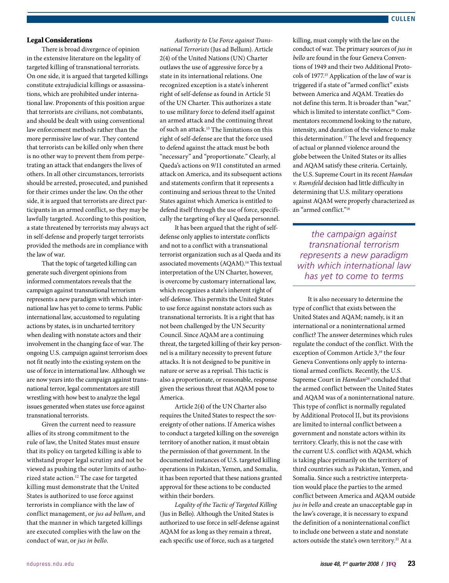#### Legal Considerations

There is broad divergence of opinion in the extensive literature on the legality of targeted killing of transnational terrorists. On one side, it is argued that targeted killings constitute extrajudicial killings or assassinations, which are prohibited under international law. Proponents of this position argue that terrorists are civilians, not combatants, and should be dealt with using conventional law enforcement methods rather than the more permissive law of war. They contend that terrorists can be killed only when there is no other way to prevent them from perpetrating an attack that endangers the lives of others. In all other circumstances, terrorists should be arrested, prosecuted, and punished for their crimes under the law. On the other side, it is argued that terrorists are direct participants in an armed conflict, so they may be lawfully targeted. According to this position, a state threatened by terrorists may always act in self-defense and properly target terrorists provided the methods are in compliance with the law of war.

That the topic of targeted killing can generate such divergent opinions from informed commentators reveals that the campaign against transnational terrorism represents a new paradigm with which international law has yet to come to terms. Public international law, accustomed to regulating actions by states, is in uncharted territory when dealing with nonstate actors and their involvement in the changing face of war. The ongoing U.S. campaign against terrorism does not fit neatly into the existing system on the use of force in international law. Although we are now years into the campaign against transnational terror, legal commentators are still wrestling with how best to analyze the legal issues generated when states use force against transnational terrorists.

Given the current need to reassure allies of its strong commitment to the rule of law, the United States must ensure that its policy on targeted killing is able to withstand proper legal scrutiny and not be viewed as pushing the outer limits of authorized state action.12 The case for targeted killing must demonstrate that the United States is authorized to use force against terrorists in compliance with the law of conflict management, or *jus ad bellum*, and that the manner in which targeted killings are executed complies with the law on the conduct of war, or *jus in bello*.

*Authority to Use Force against Transnational Terrorists* (Jus ad Bellum). Article 2(4) of the United Nations (UN) Charter outlaws the use of aggressive force by a state in its international relations. One recognized exception is a state's inherent right of self-defense as found in Article 51 of the UN Charter. This authorizes a state to use military force to defend itself against an armed attack and the continuing threat of such an attack.13 The limitations on this right of self-defense are that the force used to defend against the attack must be both "necessary" and "proportionate." Clearly, al Qaeda's actions on 9/11 constituted an armed attack on America, and its subsequent actions and statements confirm that it represents a continuing and serious threat to the United States against which America is entitled to defend itself through the use of force, specifically the targeting of key al Qaeda personnel.

It has been argued that the right of selfdefense only applies to interstate conflicts and not to a conflict with a transnational terrorist organization such as al Qaeda and its associated movements (AQAM).<sup>14</sup> This textual interpretation of the UN Charter, however, is overcome by customary international law, which recognizes a state's inherent right of self-defense. This permits the United States to use force against nonstate actors such as transnational terrorists. It is a right that has not been challenged by the UN Security Council. Since AQAM are a continuing threat, the targeted killing of their key personnel is a military necessity to prevent future attacks. It is not designed to be punitive in nature or serve as a reprisal. This tactic is also a proportionate, or reasonable, response given the serious threat that AQAM pose to America.

Article 2(4) of the UN Charter also requires the United States to respect the sovereignty of other nations. If America wishes to conduct a targeted killing on the sovereign territory of another nation, it must obtain the permission of that government. In the documented instances of U.S. targeted killing operations in Pakistan, Yemen, and Somalia, it has been reported that these nations granted approval for these actions to be conducted within their borders.

*Legality of the Tactic of Targeted Killing*  (Jus in Bello). Although the United States is authorized to use force in self-defense against AQAM for as long as they remain a threat, each specific use of force, such as a targeted

killing, must comply with the law on the conduct of war. The primary sources of *jus in bello* are found in the four Geneva Conventions of 1949 and their two Additional Protocols of 1977.15 Application of the law of war is triggered if a state of "armed conflict" exists between America and AQAM. Treaties do not define this term. It is broader than "war," which is limited to interstate conflict.<sup>16</sup> Commentators recommend looking to the nature, intensity, and duration of the violence to make this determination.<sup>17</sup> The level and frequency of actual or planned violence around the globe between the United States or its allies and AQAM satisfy these criteria. Certainly, the U.S. Supreme Court in its recent *Hamdan v. Rumsfeld* decision had little difficulty in determining that U.S. military operations against AQAM were properly characterized as an "armed conflict."18

*the campaign against transnational terrorism represents a new paradigm with which international law has yet to come to terms*

It is also necessary to determine the type of conflict that exists between the United States and AQAM; namely, is it an international or a noninternational armed conflict? The answer determines which rules regulate the conduct of the conflict. With the exception of Common Article 3,<sup>19</sup> the four Geneva Conventions only apply to international armed conflicts. Recently, the U.S. Supreme Court in *Hamdan*<sup>20</sup> concluded that the armed conflict between the United States and AQAM was of a noninternational nature. This type of conflict is normally regulated by Additional Protocol II, but its provisions are limited to internal conflict between a government and nonstate actors within its territory. Clearly, this is not the case with the current U.S. conflict with AQAM, which is taking place primarily on the territory of third countries such as Pakistan, Yemen, and Somalia. Since such a restrictive interpretation would place the parties to the armed conflict between America and AQAM outside *jus in bello* and create an unacceptable gap in the law's coverage, it is necessary to expand the definition of a noninternational conflict to include one between a state and nonstate actors outside the state's own territory.<sup>21</sup> At a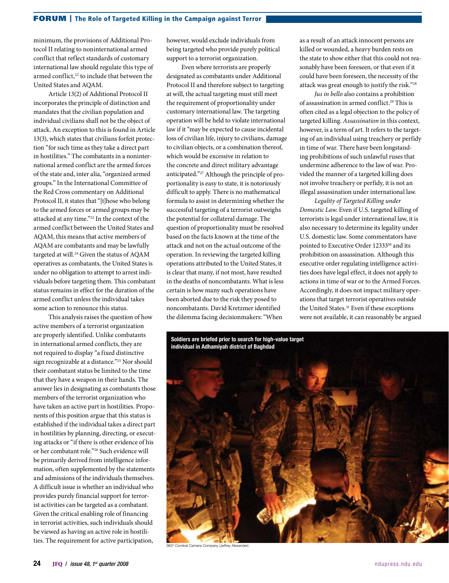minimum, the provisions of Additional Protocol II relating to noninternational armed conflict that reflect standards of customary international law should regulate this type of armed conflict,<sup>22</sup> to include that between the United States and AQAM.

Article 13(2) of Additional Protocol II incorporates the principle of distinction and mandates that the civilian population and individual civilians shall not be the object of attack. An exception to this is found in Article 13(3), which states that civilians forfeit protection "for such time as they take a direct part in hostilities." The combatants in a noninternational armed conflict are the armed forces of the state and, inter alia, "organized armed groups." In the International Committee of the Red Cross commentary on Additional Protocol II, it states that "[t]hose who belong to the armed forces or armed groups may be attacked at any time."23 In the context of the armed conflict between the United States and AQAM, this means that active members of AQAM are combatants and may be lawfully targeted at will.<sup>24</sup> Given the status of AQAM operatives as combatants, the United States is under no obligation to attempt to arrest individuals before targeting them. This combatant status remains in effect for the duration of the armed conflict unless the individual takes some action to renounce this status.

This analysis raises the question of how active members of a terrorist organization are properly identified. Unlike combatants in international armed conflicts, they are not required to display "a fixed distinctive sign recognizable at a distance."25 Nor should their combatant status be limited to the time that they have a weapon in their hands. The answer lies in designating as combatants those members of the terrorist organization who have taken an active part in hostilities. Proponents of this position argue that this status is established if the individual takes a direct part in hostilities by planning, directing, or executing attacks or "if there is other evidence of his or her combatant role."26 Such evidence will be primarily derived from intelligence information, often supplemented by the statements and admissions of the individuals themselves. A difficult issue is whether an individual who provides purely financial support for terrorist activities can be targeted as a combatant. Given the critical enabling role of financing in terrorist activities, such individuals should be viewed as having an active role in hostilities. The requirement for active participation,

however, would exclude individuals from being targeted who provide purely political support to a terrorist organization.

Even where terrorists are properly designated as combatants under Additional Protocol II and therefore subject to targeting at will, the actual targeting must still meet the requirement of proportionality under customary international law. The targeting operation will be held to violate international law if it "may be expected to cause incidental loss of civilian life, injury to civilians, damage to civilian objects, or a combination thereof, which would be excessive in relation to the concrete and direct military advantage anticipated."27 Although the principle of proportionality is easy to state, it is notoriously difficult to apply. There is no mathematical formula to assist in determining whether the successful targeting of a terrorist outweighs the potential for collateral damage. The question of proportionality must be resolved based on the facts known at the time of the attack and not on the actual outcome of the operation. In reviewing the targeted killing operations attributed to the United States, it is clear that many, if not most, have resulted in the deaths of noncombatants. What is less certain is how many such operations have been aborted due to the risk they posed to noncombatants. David Kretzmer identified the dilemma facing decisionmakers: "When

as a result of an attack innocent persons are killed or wounded, a heavy burden rests on the state to show either that this could not reasonably have been foreseen, or that even if it could have been foreseen, the necessity of the attack was great enough to justify the risk."28

*Jus in bello* also contains a prohibition of assassination in armed conflict.<sup>29</sup> This is often cited as a legal objection to the policy of targeted killing. *Assassination* in this context, however, is a term of art. It refers to the targeting of an individual using treachery or perfidy in time of war. There have been longstanding prohibitions of such unlawful ruses that undermine adherence to the law of war. Provided the manner of a targeted killing does not involve treachery or perfidy, it is not an illegal assassination under international law.

*Legality of Targeted Killing under Domestic Law*. Even if U.S. targeted killing of terrorists is legal under international law, it is also necessary to determine its legality under U.S. domestic law. Some commentators have pointed to Executive Order 12333<sup>30</sup> and its prohibition on assassination. Although this executive order regulating intelligence activities does have legal effect, it does not apply to actions in time of war or to the Armed Forces. Accordingly, it does not impact military operations that target terrorist operatives outside the United States.<sup>31</sup> Even if these exceptions were not available, it can reasonably be argued



982<sup>d</sup> Combat Camera Company (Jeffrey Alexander)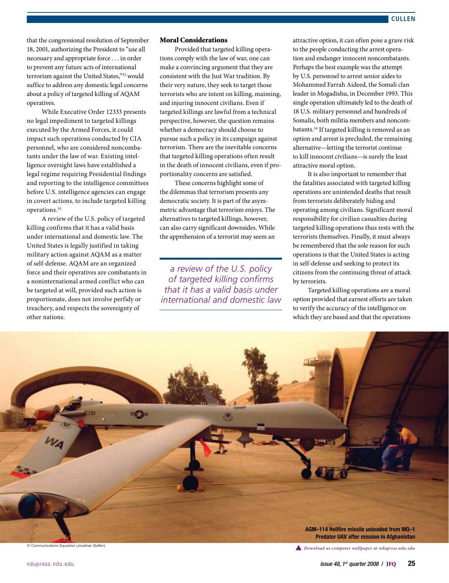that the congressional resolution of September 18, 2001, authorizing the President to "use all necessary and appropriate force . . . in order to prevent any future acts of international terrorism against the United States,"32 would suffice to address any domestic legal concerns about a policy of targeted killing of AQAM operatives.

While Executive Order 12333 presents no legal impediment to targeted killings executed by the Armed Forces, it could impact such operations conducted by CIA personnel, who are considered noncombatants under the law of war. Existing intelligence oversight laws have established a legal regime requiring Presidential findings and reporting to the intelligence committees before U.S. intelligence agencies can engage in covert actions, to include targeted killing operations.33

A review of the U.S. policy of targeted killing confirms that it has a valid basis under international and domestic law. The United States is legally justified in taking military action against AQAM as a matter of self-defense. AQAM are an organized force and their operatives are combatants in a noninternational armed conflict who can be targeted at will, provided such action is proportionate, does not involve perfidy or treachery, and respects the sovereignty of other nations.

## Moral Considerations

Provided that targeted killing operations comply with the law of war, one can make a convincing argument that they are consistent with the Just War tradition. By their very nature, they seek to target those terrorists who are intent on killing, maiming, and injuring innocent civilians. Even if targeted killings are lawful from a technical perspective, however, the question remains whether a democracy should choose to pursue such a policy in its campaign against terrorism. There are the inevitable concerns that targeted killing operations often result in the death of innocent civilians, even if proportionality concerns are satisfied.

These concerns highlight some of the dilemmas that terrorism presents any democratic society. It is part of the asymmetric advantage that terrorism enjoys. The alternatives to targeted killings, however, can also carry significant downsides. While the apprehension of a terrorist may seem an

*a review of the U.S. policy of targeted killing confirms that it has a valid basis under international and domestic law* attractive option, it can often pose a grave risk to the people conducting the arrest operation and endanger innocent noncombatants. Perhaps the best example was the attempt by U.S. personnel to arrest senior aides to Mohammed Farrah Aideed, the Somali clan leader in Mogadishu, in December 1993. This single operation ultimately led to the death of 18 U.S. military personnel and hundreds of Somalis, both militia members and noncombatants.34 If targeted killing is removed as an option and arrest is precluded, the remaining alternative—letting the terrorist continue to kill innocent civilians—is surely the least attractive moral option.

It is also important to remember that the fatalities associated with targeted killing operations are unintended deaths that result from terrorists deliberately hiding and operating among civilians. Significant moral responsibility for civilian casualties during targeted killing operations thus rests with the terrorists themselves. Finally, it must always be remembered that the sole reason for such operations is that the United States is acting in self-defense and seeking to protect its citizens from the continuing threat of attack by terrorists.

Targeted killing operations are a moral option provided that earnest efforts are taken to verify the accuracy of the intelligence on which they are based and that the operations



3<sup>d</sup> Communications Squadron (Jonathan Steffen)

*Download as computer wallpaper at ndupress.ndu.edu*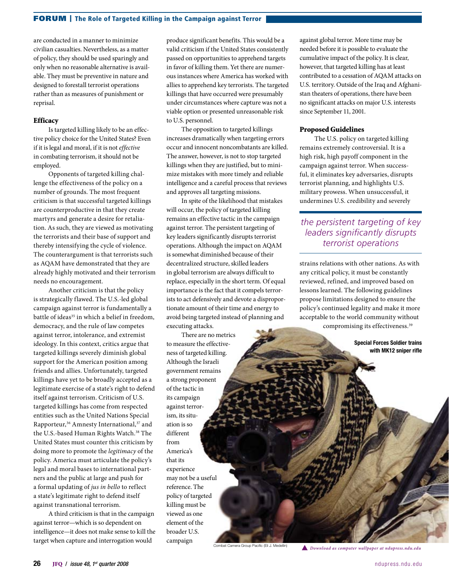### FORUM | The Role of Targeted Killing in the Campaign against Terror

are conducted in a manner to minimize civilian casualties. Nevertheless, as a matter of policy, they should be used sparingly and only when no reasonable alternative is available. They must be preventive in nature and designed to forestall terrorist operations rather than as measures of punishment or reprisal.

#### **Efficacy**

Is targeted killing likely to be an effective policy choice for the United States? Even if it is legal and moral, if it is not *effective* in combating terrorism, it should not be employed.

Opponents of targeted killing challenge the effectiveness of the policy on a number of grounds. The most frequent criticism is that successful targeted killings are counterproductive in that they create martyrs and generate a desire for retaliation. As such, they are viewed as motivating the terrorists and their base of support and thereby intensifying the cycle of violence. The counterargument is that terrorists such as AQAM have demonstrated that they are already highly motivated and their terrorism needs no encouragement.

Another criticism is that the policy is strategically flawed. The U.S.-led global campaign against terror is fundamentally a battle of ideas<sup>35</sup> in which a belief in freedom, democracy, and the rule of law competes against terror, intolerance, and extremist ideology. In this context, critics argue that targeted killings severely diminish global support for the American position among friends and allies. Unfortunately, targeted killings have yet to be broadly accepted as a legitimate exercise of a state's right to defend itself against terrorism. Criticism of U.S. targeted killings has come from respected entities such as the United Nations Special Rapporteur,<sup>36</sup> Amnesty International,<sup>37</sup> and the U.S.-based Human Rights Watch.<sup>38</sup> The United States must counter this criticism by doing more to promote the *legitimacy* of the policy. America must articulate the policy's legal and moral bases to international partners and the public at large and push for a formal updating of *jus in bello* to reflect a state's legitimate right to defend itself against transnational terrorism.

A third criticism is that in the campaign against terror—which is so dependent on intelligence—it does not make sense to kill the target when capture and interrogation would

produce significant benefits. This would be a valid criticism if the United States consistently passed on opportunities to apprehend targets in favor of killing them. Yet there are numerous instances where America has worked with allies to apprehend key terrorists. The targeted killings that have occurred were presumably under circumstances where capture was not a viable option or presented unreasonable risk to U.S. personnel.

The opposition to targeted killings increases dramatically when targeting errors occur and innocent noncombatants are killed. The answer, however, is not to stop targeted killings when they are justified, but to minimize mistakes with more timely and reliable intelligence and a careful process that reviews and approves all targeting missions.

In spite of the likelihood that mistakes will occur, the policy of targeted killing remains an effective tactic in the campaign against terror. The persistent targeting of key leaders significantly disrupts terrorist operations. Although the impact on AQAM is somewhat diminished because of their decentralized structure, skilled leaders in global terrorism are always difficult to replace, especially in the short term. Of equal importance is the fact that it compels terrorists to act defensively and devote a disproportionate amount of their time and energy to avoid being targeted instead of planning and executing attacks.

There are no metrics to measure the effectiveness of targeted killing. Although the Israeli government remains a strong proponent of the tactic in its campaign against terrorism, its situation is so different from America's that its experience may not be a useful reference. The policy of targeted killing must be viewed as one element of the broader U.S. campaign

against global terror. More time may be needed before it is possible to evaluate the cumulative impact of the policy. It is clear, however, that targeted killing has at least contributed to a cessation of AQAM attacks on U.S. territory. Outside of the Iraq and Afghanistan theaters of operations, there have been no significant attacks on major U.S. interests since September 11, 2001.

#### Proposed Guidelines

The U.S. policy on targeted killing remains extremely controversial. It is a high risk, high payoff component in the campaign against terror. When successful, it eliminates key adversaries, disrupts terrorist planning, and highlights U.S. military prowess. When unsuccessful, it undermines U.S. credibility and severely

# *the persistent targeting of key leaders significantly disrupts terrorist operations*

strains relations with other nations. As with any critical policy, it must be constantly reviewed, refined, and improved based on lessons learned. The following guidelines propose limitations designed to ensure the policy's continued legality and make it more acceptable to the world community without compromising its effectiveness.39

> Special Forces Soldier trains with MK12 sniper rifle

```
Combat Camera Group Pacific (Eli J. Medellin) Download as computer wallpaper at ndupress.ndu.edu
```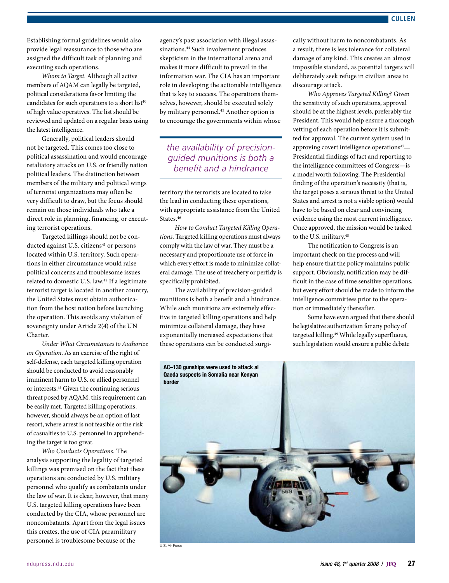Establishing formal guidelines would also provide legal reassurance to those who are assigned the difficult task of planning and executing such operations.

*Whom to Target.* Although all active members of AQAM can legally be targeted, political considerations favor limiting the candidates for such operations to a short list<sup>40</sup> of high value operatives. The list should be reviewed and updated on a regular basis using the latest intelligence.

Generally, political leaders should not be targeted. This comes too close to political assassination and would encourage retaliatory attacks on U.S. or friendly nation political leaders. The distinction between members of the military and political wings of terrorist organizations may often be very difficult to draw, but the focus should remain on those individuals who take a direct role in planning, financing, or executing terrorist operations.

Targeted killings should not be conducted against U.S. citizens<sup>41</sup> or persons located within U.S. territory. Such operations in either circumstance would raise political concerns and troublesome issues related to domestic U.S. law.<sup>42</sup> If a legitimate terrorist target is located in another country, the United States must obtain authorization from the host nation before launching the operation. This avoids any violation of sovereignty under Article 2(4) of the UN Charter.

*Under What Circumstances to Authorize an Operation*. As an exercise of the right of self-defense, each targeted killing operation should be conducted to avoid reasonably imminent harm to U.S. or allied personnel or interests.43 Given the continuing serious threat posed by AQAM, this requirement can be easily met. Targeted killing operations, however, should always be an option of last resort, where arrest is not feasible or the risk of casualties to U.S. personnel in apprehending the target is too great.

*Who Conducts Operations*. The analysis supporting the legality of targeted killings was premised on the fact that these operations are conducted by U.S. military personnel who qualify as combatants under the law of war. It is clear, however, that many U.S. targeted killing operations have been conducted by the CIA, whose personnel are noncombatants. Apart from the legal issues this creates, the use of CIA paramilitary personnel is troublesome because of the

agency's past association with illegal assassinations.<sup>44</sup> Such involvement produces skepticism in the international arena and makes it more difficult to prevail in the information war. The CIA has an important role in developing the actionable intelligence that is key to success. The operations themselves, however, should be executed solely by military personnel.<sup>45</sup> Another option is to encourage the governments within whose

*the availability of precisionguided munitions is both a benefit and a hindrance*

territory the terrorists are located to take the lead in conducting these operations, with appropriate assistance from the United States.<sup>46</sup>

*How to Conduct Targeted Killing Operations*. Targeted killing operations must always comply with the law of war. They must be a necessary and proportionate use of force in which every effort is made to minimize collateral damage. The use of treachery or perfidy is specifically prohibited.

The availability of precision-guided munitions is both a benefit and a hindrance. While such munitions are extremely effective in targeted killing operations and help minimize collateral damage, they have exponentially increased expectations that these operations can be conducted surgically without harm to noncombatants. As a result, there is less tolerance for collateral damage of any kind. This creates an almost impossible standard, as potential targets will deliberately seek refuge in civilian areas to discourage attack.

*Who Approves Targeted Killing*? Given the sensitivity of such operations, approval should be at the highest levels, preferably the President. This would help ensure a thorough vetting of each operation before it is submitted for approval. The current system used in approving covert intelligence operations $47-$ Presidential findings of fact and reporting to the intelligence committees of Congress—is a model worth following. The Presidential finding of the operation's necessity (that is, the target poses a serious threat to the United States and arrest is not a viable option) would have to be based on clear and convincing evidence using the most current intelligence. Once approved, the mission would be tasked to the U.S. military.48

The notification to Congress is an important check on the process and will help ensure that the policy maintains public support. Obviously, notification may be difficult in the case of time sensitive operations, but every effort should be made to inform the intelligence committees prior to the operation or immediately thereafter.

Some have even argued that there should be legislative authorization for any policy of targeted killing.<sup>49</sup> While legally superfluous, such legislation would ensure a public debate



U.S. Air Force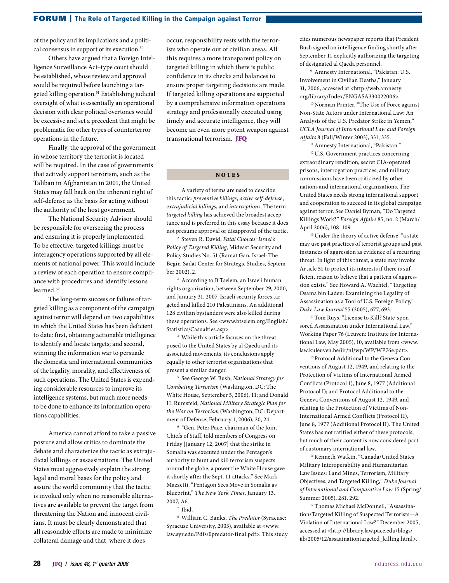of the policy and its implications and a political consensus in support of its execution.<sup>50</sup>

Others have argued that a Foreign Intelligence Surveillance Act–type court should be established, whose review and approval would be required before launching a targeted killing operation.<sup>51</sup> Establishing judicial oversight of what is essentially an operational decision with clear political overtones would be excessive and set a precedent that might be problematic for other types of counterterror operations in the future.

Finally, the approval of the government in whose territory the terrorist is located will be required. In the case of governments that actively support terrorism, such as the Taliban in Afghanistan in 2001, the United States may fall back on the inherent right of self-defense as the basis for acting without the authority of the host government.

The National Security Advisor should be responsible for overseeing the process and ensuring it is properly implemented. To be effective, targeted killings must be interagency operations supported by all elements of national power. This would include a review of each operation to ensure compliance with procedures and identify lessons learned.<sup>52</sup>

The long-term success or failure of targeted killing as a component of the campaign against terror will depend on two capabilities in which the United States has been deficient to date: first, obtaining actionable intelligence to identify and locate targets; and second, winning the information war to persuade the domestic and international communities of the legality, morality, and effectiveness of such operations. The United States is expending considerable resources to improve its intelligence systems, but much more needs to be done to enhance its information operations capabilities.

America cannot afford to take a passive posture and allow critics to dominate the debate and characterize the tactic as extrajudicial killings or assassinations. The United States must aggressively explain the strong legal and moral bases for the policy and assure the world community that the tactic is invoked only when no reasonable alternatives are available to prevent the target from threatening the Nation and innocent civilians. It must be clearly demonstrated that all reasonable efforts are made to minimize collateral damage and that, where it does

occur, responsibility rests with the terrorists who operate out of civilian areas. All this requires a more transparent policy on targeted killing in which there is public confidence in its checks and balances to ensure proper targeting decisions are made. If targeted killing operations are supported by a comprehensive information operations strategy and professionally executed using timely and accurate intelligence, they will become an even more potent weapon against transnational terrorism. JFQ

### **NOTES**

<sup>1</sup> A variety of terms are used to describe this tactic: *preventive killings*, *active self-defense*, *extrajudicial killings*, and *interceptions*. The term *targeted killing* has achieved the broadest acceptance and is preferred in this essay because it does not presume approval or disapproval of the tactic.

<sup>2</sup> Steven R. David, *Fatal Choices: Israel's Policy of Targeted Killing*, Mideast Security and Policy Studies No. 51 (Ramat Gan, Israel: The Begin-Sadat Center for Strategic Studies, September 2002), 2.

<sup>3</sup> According to B'Tselem, an Israeli human rights organization, between September 29, 2000, and January 31, 2007, Israeli security forces targeted and killed 210 Palestinians. An additional 128 civilian bystanders were also killed during these operations. See <www.btselem.org/English/ Statistics/Casualties.asp>.

<sup>4</sup> While this article focuses on the threat posed to the United States by al Qaeda and its associated movements, its conclusions apply equally to other terrorist organizations that present a similar danger.

<sup>5</sup> See George W. Bush, *National Strategy for Combating Terrorism* (Washington, DC: The White House, September 5, 2006), 11; and Donald H. Rumsfeld, *National Military Strategic Plan for the War on Terrorism* (Washington, DC: Department of Defense, February 1, 2006), 20, 24.

<sup>6</sup> "Gen. Peter Pace, chairman of the Joint Chiefs of Staff, told members of Congress on Friday [January 12, 2007] that the strike in Somalia was executed under the Pentagon's authority to hunt and kill terrorism suspects around the globe, a power the White House gave it shortly after the Sept. 11 attacks." See Mark Mazzetti, "Pentagon Sees Move in Somalia as Blueprint," *The New York Times*, January 13, 2007, A6.

<sup>7</sup> Ibid.

<sup>8</sup> William C. Banks, *The Predator* (Syracuse: Syracuse University, 2003), available at <www. law.syr.edu/Pdfs/0predator-final.pdf>. This study cites numerous newspaper reports that President Bush signed an intelligence finding shortly after September 11 explicitly authorizing the targeting of designated al Qaeda personnel.

<sup>9</sup> Amnesty International, "Pakistan: U.S. Involvement in Civilian Deaths," January 31, 2006, accessed at <http://web.amnesty. org/library/Index/ENGASA330022006>.

<sup>10</sup> Norman Printer, "The Use of Force against Non-State Actors under International Law: An Analysis of the U.S. Predator Strike in Yemen," *UCLA Journal of International Law and Foreign Affairs* 8 (Fall/Winter 2003), 331, 335.

<sup>11</sup> Amnesty International, "Pakistan."

<sup>12</sup> U.S. Government practices concerning extraordinary rendition, secret CIA-operated prisons, interrogation practices, and military commissions have been criticized by other nations and international organizations. The United States needs strong international support and cooperation to succeed in its global campaign against terror. See Daniel Byman, "Do Targeted Killings Work?" *Foreign Affairs* 85, no. 2 (March/ April 2006), 108–109.

<sup>13</sup> Under the theory of active defense, "a state may use past practices of terrorist groups and past instances of aggression as evidence of a recurring threat. In light of this threat, a state may invoke Article 51 to protect its interests if there is sufficient reason to believe that a pattern of aggression exists." See Howard A. Wachtel, "Targeting Osama bin Laden: Examining the Legality of Assassination as a Tool of U.S. Foreign Policy," *Duke Law Journal* 55 (2005), 677, 693.

<sup>14</sup> Tom Ruys, "License to Kill? State-sponsored Assassination under International Law," Working Paper 76 (Leuven: Institute for International Law, May 2005), 10, available from <www. law.kuleuven.be/iir/nl/wp/WP/WP76e.pdf>.

<sup>15</sup> Protocol Additional to the Geneva Conventions of August 12, 1949, and relating to the Protection of Victims of International Armed Conflicts (Protocol 1), June 8, 1977 (Additional Protocol I); and Protocol Additional to the Geneva Conventions of August 12, 1949, and relating to the Protection of Victims of Non-International Armed Conflicts (Protocol II), June 8, 1977 (Additional Protocol II). The United States has not ratified either of these protocols, but much of their content is now considered part of customary international law.

<sup>16</sup> Kenneth Watkin, "Canada/United States Military Interoperability and Humanitarian Law Issues: Land Mines, Terrorism, Military Objectives, and Targeted Killing," *Duke Journal of International and Comparative Law* 15 (Spring/ Summer 2005), 281, 292.

<sup>17</sup> Thomas Michael McDonnell, "Assassination/Targeted Killing of Suspected Terrorists—A Violation of International Law?" December 2005, accessed at <http://library.law.pace.edu/blogs/ jib/2005/12/assaainationtargeted\_killing.html>.